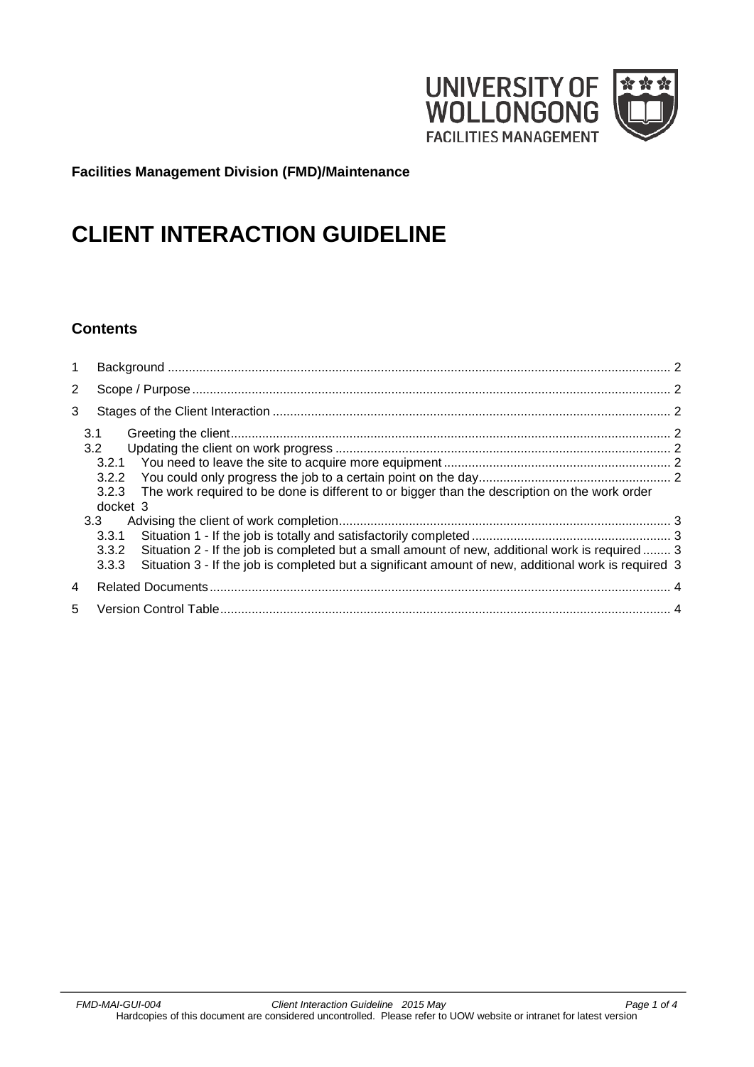

**Facilities Management Division (FMD)/Maintenance**

# **CLIENT INTERACTION GUIDELINE**

# **Contents**

| 1              |                                                                                                                                                                                                                                                      |  |  |  |  |  |
|----------------|------------------------------------------------------------------------------------------------------------------------------------------------------------------------------------------------------------------------------------------------------|--|--|--|--|--|
| $\overline{2}$ |                                                                                                                                                                                                                                                      |  |  |  |  |  |
| 3              |                                                                                                                                                                                                                                                      |  |  |  |  |  |
|                | 3.1<br>3.2<br>3.2.1<br>3.2.2<br>The work required to be done is different to or bigger than the description on the work order<br>3.2.3                                                                                                               |  |  |  |  |  |
|                | docket 3<br>3.3<br>3.3.1<br>Situation 2 - If the job is completed but a small amount of new, additional work is required 3<br>3.3.2<br>Situation 3 - If the job is completed but a significant amount of new, additional work is required 3<br>3.3.3 |  |  |  |  |  |
| 4              |                                                                                                                                                                                                                                                      |  |  |  |  |  |
| 5              |                                                                                                                                                                                                                                                      |  |  |  |  |  |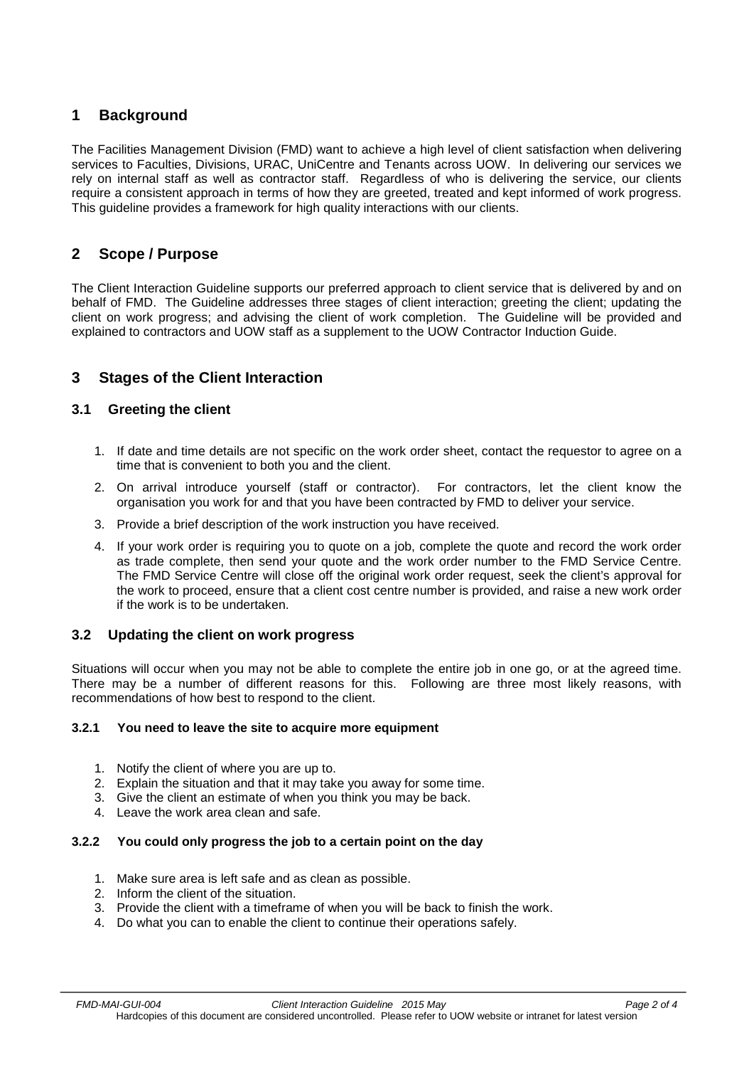# <span id="page-1-0"></span>**1 Background**

The Facilities Management Division (FMD) want to achieve a high level of client satisfaction when delivering services to Faculties, Divisions, URAC, UniCentre and Tenants across UOW. In delivering our services we rely on internal staff as well as contractor staff. Regardless of who is delivering the service, our clients require a consistent approach in terms of how they are greeted, treated and kept informed of work progress. This guideline provides a framework for high quality interactions with our clients.

# <span id="page-1-1"></span>**2 Scope / Purpose**

The Client Interaction Guideline supports our preferred approach to client service that is delivered by and on behalf of FMD. The Guideline addresses three stages of client interaction; greeting the client; updating the client on work progress; and advising the client of work completion. The Guideline will be provided and explained to contractors and UOW staff as a supplement to the UOW Contractor Induction Guide.

# <span id="page-1-2"></span>**3 Stages of the Client Interaction**

## <span id="page-1-3"></span>**3.1 Greeting the client**

- 1. If date and time details are not specific on the work order sheet, contact the requestor to agree on a time that is convenient to both you and the client.
- 2. On arrival introduce yourself (staff or contractor). For contractors, let the client know the organisation you work for and that you have been contracted by FMD to deliver your service.
- 3. Provide a brief description of the work instruction you have received.
- 4. If your work order is requiring you to quote on a job, complete the quote and record the work order as trade complete, then send your quote and the work order number to the FMD Service Centre. The FMD Service Centre will close off the original work order request, seek the client's approval for the work to proceed, ensure that a client cost centre number is provided, and raise a new work order if the work is to be undertaken.

## <span id="page-1-4"></span>**3.2 Updating the client on work progress**

Situations will occur when you may not be able to complete the entire job in one go, or at the agreed time. There may be a number of different reasons for this. Following are three most likely reasons, with recommendations of how best to respond to the client.

#### <span id="page-1-5"></span>**3.2.1 You need to leave the site to acquire more equipment**

- 1. Notify the client of where you are up to.
- 2. Explain the situation and that it may take you away for some time.
- 3. Give the client an estimate of when you think you may be back.
- 4. Leave the work area clean and safe.

#### <span id="page-1-6"></span>**3.2.2 You could only progress the job to a certain point on the day**

- 1. Make sure area is left safe and as clean as possible.
- 2. Inform the client of the situation.
- 3. Provide the client with a timeframe of when you will be back to finish the work.
- 4. Do what you can to enable the client to continue their operations safely.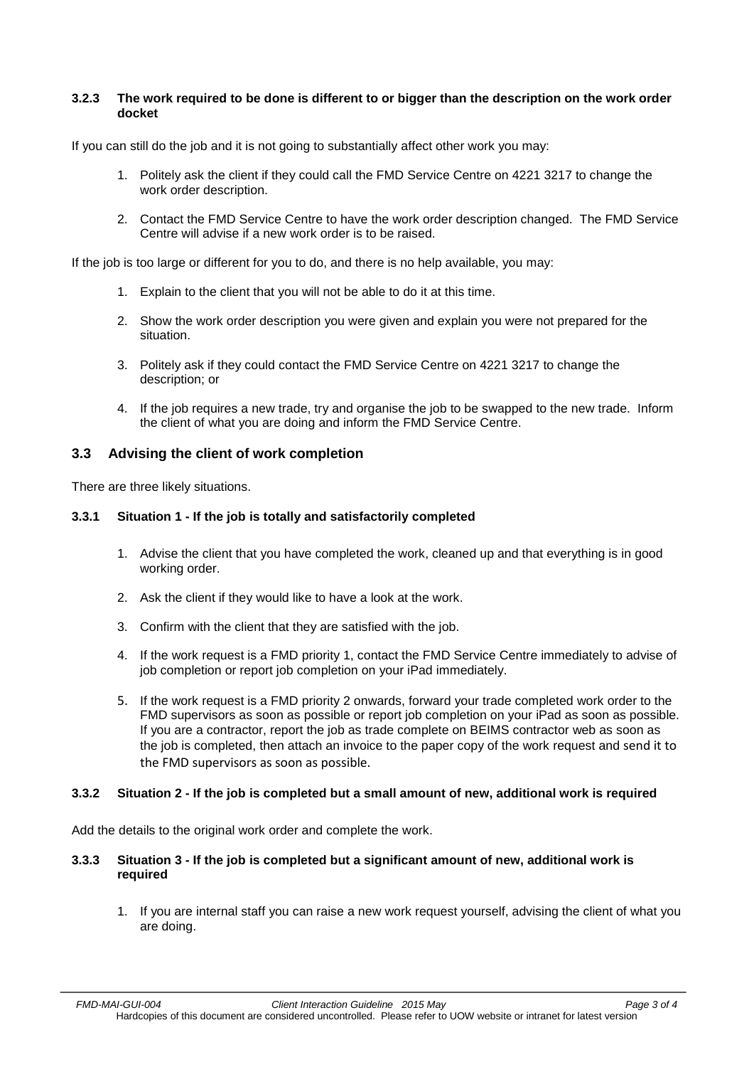#### <span id="page-2-0"></span>**3.2.3 The work required to be done is different to or bigger than the description on the work order docket**

If you can still do the job and it is not going to substantially affect other work you may:

- 1. Politely ask the client if they could call the FMD Service Centre on 4221 3217 to change the work order description.
- 2. Contact the FMD Service Centre to have the work order description changed. The FMD Service Centre will advise if a new work order is to be raised.

If the job is too large or different for you to do, and there is no help available, you may:

- 1. Explain to the client that you will not be able to do it at this time.
- 2. Show the work order description you were given and explain you were not prepared for the situation.
- 3. Politely ask if they could contact the FMD Service Centre on 4221 3217 to change the description; or
- 4. If the job requires a new trade, try and organise the job to be swapped to the new trade. Inform the client of what you are doing and inform the FMD Service Centre.

#### <span id="page-2-1"></span>**3.3 Advising the client of work completion**

<span id="page-2-2"></span>There are three likely situations.

#### **3.3.1 Situation 1 - If the job is totally and satisfactorily completed**

- 1. Advise the client that you have completed the work, cleaned up and that everything is in good working order.
- 2. Ask the client if they would like to have a look at the work.
- 3. Confirm with the client that they are satisfied with the job.
- 4. If the work request is a FMD priority 1, contact the FMD Service Centre immediately to advise of job completion or report job completion on your iPad immediately.
- 5. If the work request is a FMD priority 2 onwards, forward your trade completed work order to the FMD supervisors as soon as possible or report job completion on your iPad as soon as possible. If you are a contractor, report the job as trade complete on BEIMS contractor web as soon as the job is completed, then attach an invoice to the paper copy of the work request and send it to the FMD supervisors as soon as possible.

#### <span id="page-2-3"></span>**3.3.2 Situation 2 - If the job is completed but a small amount of new, additional work is required**

Add the details to the original work order and complete the work.

#### <span id="page-2-4"></span>**3.3.3 Situation 3 - If the job is completed but a significant amount of new, additional work is required**

1. If you are internal staff you can raise a new work request yourself, advising the client of what you are doing.